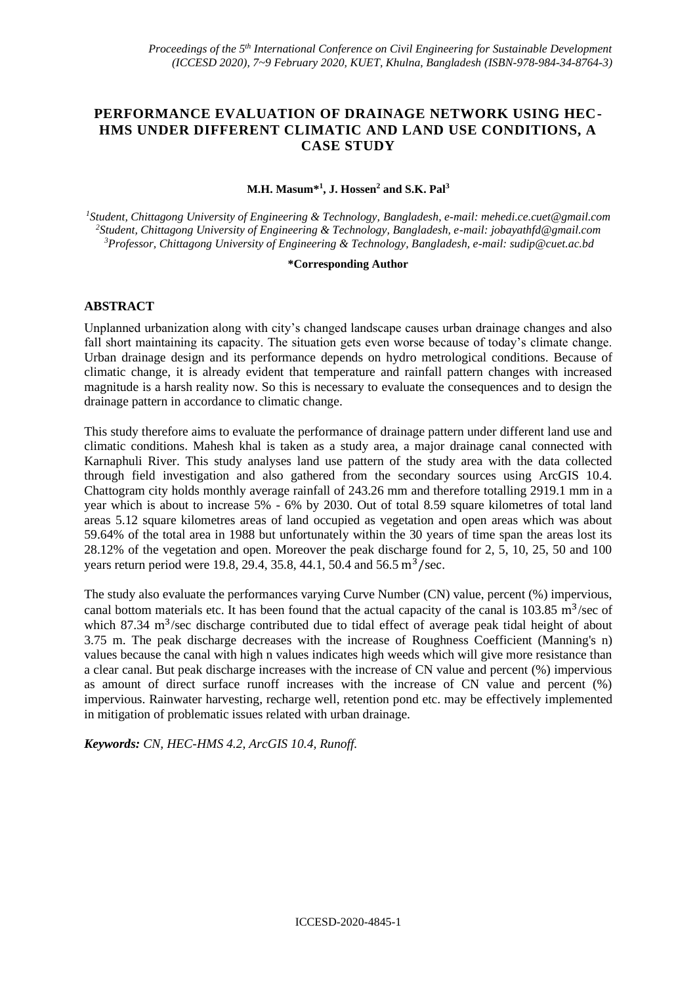# **PERFORMANCE EVALUATION OF DRAINAGE NETWORK USING HEC-HMS UNDER DIFFERENT CLIMATIC AND LAND USE CONDITIONS, A CASE STUDY**

## **M.H. Masum\*<sup>1</sup> , J. Hossen<sup>2</sup> and S.K. Pal<sup>3</sup>**

*<sup>1</sup>Student, Chittagong University of Engineering & Technology, Bangladesh, e-mail: mehedi.ce.cuet@gmail.com <sup>2</sup>Student, Chittagong University of Engineering & Technology, Bangladesh, e-mail[: jobayathfd@gmail.com](mailto:jobayathfd@gmail.com) <sup>3</sup>Professor, Chittagong University of Engineering & Technology, Bangladesh, e-mail: sudip@cuet.ac.bd*

#### **\*Corresponding Author**

## **ABSTRACT**

Unplanned urbanization along with city's changed landscape causes urban drainage changes and also fall short maintaining its capacity. The situation gets even worse because of today's climate change. Urban drainage design and its performance depends on hydro metrological conditions. Because of climatic change, it is already evident that temperature and rainfall pattern changes with increased magnitude is a harsh reality now. So this is necessary to evaluate the consequences and to design the drainage pattern in accordance to climatic change.

This study therefore aims to evaluate the performance of drainage pattern under different land use and climatic conditions. Mahesh khal is taken as a study area, a major drainage canal connected with Karnaphuli River. This study analyses land use pattern of the study area with the data collected through field investigation and also gathered from the secondary sources using ArcGIS 10.4. Chattogram city holds monthly average rainfall of 243.26 mm and therefore totalling 2919.1 mm in a year which is about to increase 5% - 6% by 2030. Out of total 8.59 square kilometres of total land areas 5.12 square kilometres areas of land occupied as vegetation and open areas which was about 59.64% of the total area in 1988 but unfortunately within the 30 years of time span the areas lost its 28.12% of the vegetation and open. Moreover the peak discharge found for 2, 5, 10, 25, 50 and 100 years return period were 19.8, 29.4, 35.8, 44.1, 50.4 and 56.5  $\text{m}^3/\text{sec}$ .

The study also evaluate the performances varying Curve Number (CN) value, percent (%) impervious, canal bottom materials etc. It has been found that the actual capacity of the canal is  $103.85 \text{ m}^3/\text{sec}$  of which 87.34 m<sup>3</sup>/sec discharge contributed due to tidal effect of average peak tidal height of about 3.75 m. The peak discharge decreases with the increase of Roughness Coefficient (Manning's n) values because the canal with high n values indicates high weeds which will give more resistance than a clear canal. But peak discharge increases with the increase of CN value and percent (%) impervious as amount of direct surface runoff increases with the increase of CN value and percent (%) impervious. Rainwater harvesting, recharge well, retention pond etc. may be effectively implemented in mitigation of problematic issues related with urban drainage.

*Keywords: CN, HEC-HMS 4.2, ArcGIS 10.4, Runoff.*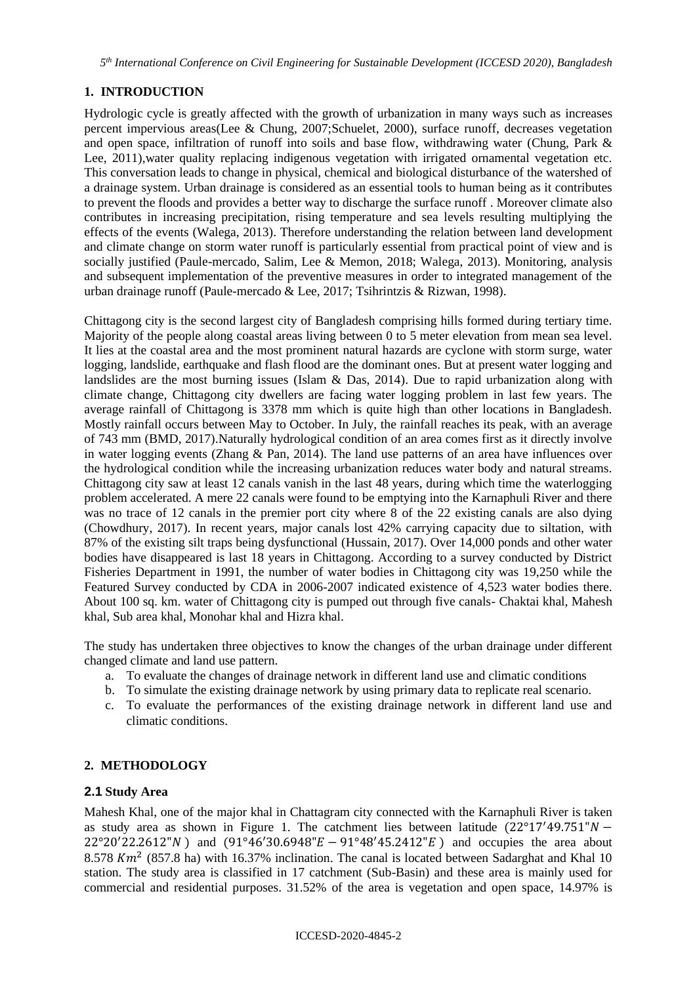*5 th International Conference on Civil Engineering for Sustainable Development (ICCESD 2020), Bangladesh*

# **1. INTRODUCTION**

Hydrologic cycle is greatly affected with the growth of urbanization in many ways such as increases percent impervious areas(Lee & Chung, 2007;Schuelet, 2000), surface runoff, decreases vegetation and open space, infiltration of runoff into soils and base flow, withdrawing water (Chung, Park & Lee, 2011), water quality replacing indigenous vegetation with irrigated ornamental vegetation etc. This conversation leads to change in physical, chemical and biological disturbance of the watershed of a drainage system. Urban drainage is considered as an essential tools to human being as it contributes to prevent the floods and provides a better way to discharge the surface runoff . Moreover climate also contributes in increasing precipitation, rising temperature and sea levels resulting multiplying the effects of the events (Walega, 2013). Therefore understanding the relation between land development and climate change on storm water runoff is particularly essential from practical point of view and is socially justified (Paule-mercado, Salim, Lee & Memon, 2018; Walega, 2013). Monitoring, analysis and subsequent implementation of the preventive measures in order to integrated management of the urban drainage runoff (Paule-mercado & Lee, 2017; Tsihrintzis & Rizwan, 1998).

Chittagong city is the second largest city of Bangladesh comprising hills formed during tertiary time. Majority of the people along coastal areas living between 0 to 5 meter elevation from mean sea level. It lies at the coastal area and the most prominent natural hazards are cyclone with storm surge, water logging, landslide, earthquake and flash flood are the dominant ones. But at present water logging and landslides are the most burning issues (Islam  $\&$  Das, 2014). Due to rapid urbanization along with climate change, Chittagong city dwellers are facing water logging problem in last few years. The average rainfall of Chittagong is 3378 mm which is quite high than other locations in Bangladesh. Mostly rainfall occurs between May to October. In July, the rainfall reaches its peak, with an average of 743 mm (BMD, 2017).Naturally hydrological condition of an area comes first as it directly involve in water logging events (Zhang & Pan, 2014). The land use patterns of an area have influences over the hydrological condition while the increasing urbanization reduces water body and natural streams. Chittagong city saw at least 12 canals vanish in the last 48 years, during which time the waterlogging problem accelerated. A mere 22 canals were found to be emptying into the Karnaphuli River and there was no trace of 12 canals in the premier port city where 8 of the 22 existing canals are also dying (Chowdhury, 2017). In recent years, major canals lost 42% carrying capacity due to siltation, with 87% of the existing silt traps being dysfunctional (Hussain, 2017). Over 14,000 ponds and other water bodies have disappeared is last 18 years in Chittagong. According to a survey conducted by District Fisheries Department in 1991, the number of water bodies in Chittagong city was 19,250 while the Featured Survey conducted by CDA in 2006-2007 indicated existence of 4,523 water bodies there. About 100 sq. km. water of Chittagong city is pumped out through five canals- Chaktai khal, Mahesh khal, Sub area khal, Monohar khal and Hizra khal.

The study has undertaken three objectives to know the changes of the urban drainage under different changed climate and land use pattern.

- a. To evaluate the changes of drainage network in different land use and climatic conditions
- b. To simulate the existing drainage network by using primary data to replicate real scenario.
- c. To evaluate the performances of the existing drainage network in different land use and climatic conditions.

# **2. METHODOLOGY**

## **2.1 Study Area**

Mahesh Khal, one of the major khal in Chattagram city connected with the Karnaphuli River is taken as study area as shown in Figure 1. The catchment lies between latitude  $(22^{\circ}17'49.751''N -$ 22°20′22.2612" N) and  $(91°46'30.6948" E - 91°48'45.2412" E)$  and occupies the area about 8.578  $Km^2$  (857.8 ha) with 16.37% inclination. The canal is located between Sadarghat and Khal 10 station. The study area is classified in 17 catchment (Sub-Basin) and these area is mainly used for commercial and residential purposes. 31.52% of the area is vegetation and open space, 14.97% is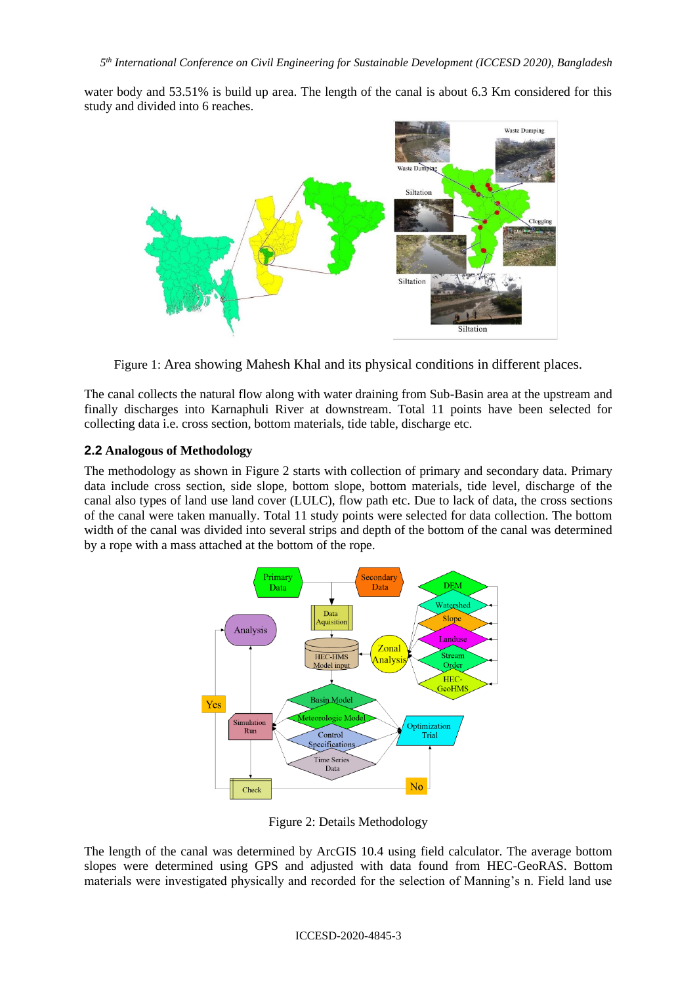water body and 53.51% is build up area. The length of the canal is about 6.3 Km considered for this study and divided into 6 reaches.



Figure 1: Area showing Mahesh Khal and its physical conditions in different places.

The canal collects the natural flow along with water draining from Sub-Basin area at the upstream and finally discharges into Karnaphuli River at downstream. Total 11 points have been selected for collecting data i.e. cross section, bottom materials, tide table, discharge etc.

## **2.2 Analogous of Methodology**

The methodology as shown in Figure 2 starts with collection of primary and secondary data. Primary data include cross section, side slope, bottom slope, bottom materials, tide level, discharge of the canal also types of land use land cover (LULC), flow path etc. Due to lack of data, the cross sections of the canal were taken manually. Total 11 study points were selected for data collection. The bottom width of the canal was divided into several strips and depth of the bottom of the canal was determined by a rope with a mass attached at the bottom of the rope.



Figure 2: Details Methodology

The length of the canal was determined by ArcGIS 10.4 using field calculator. The average bottom slopes were determined using GPS and adjusted with data found from HEC-GeoRAS. Bottom materials were investigated physically and recorded for the selection of Manning's n. Field land use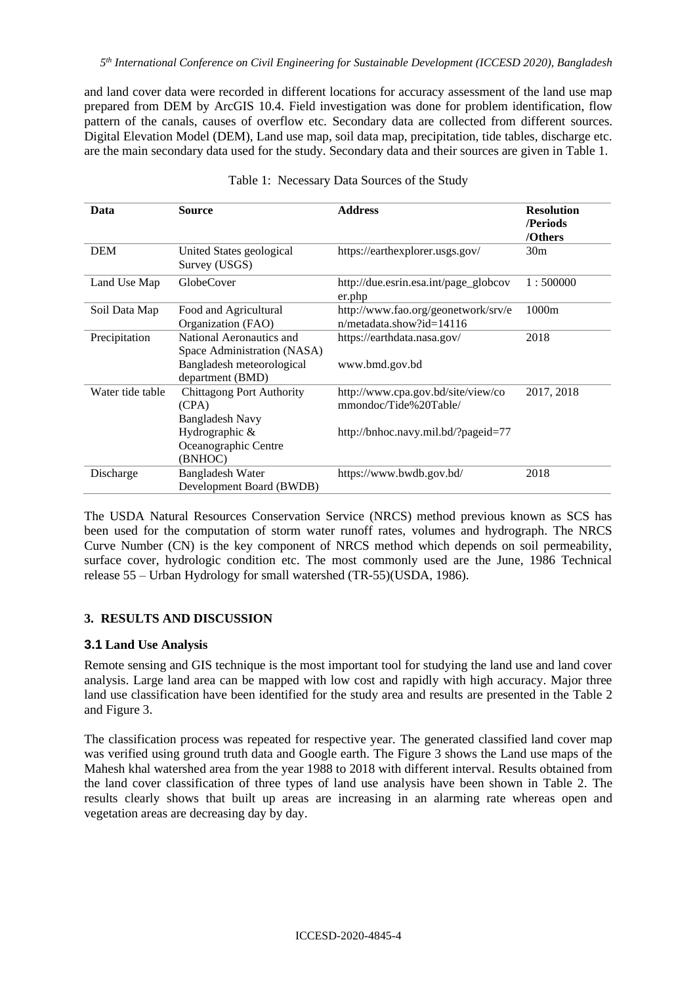and land cover data were recorded in different locations for accuracy assessment of the land use map prepared from DEM by ArcGIS 10.4. Field investigation was done for problem identification, flow pattern of the canals, causes of overflow etc. Secondary data are collected from different sources. Digital Elevation Model (DEM), Land use map, soil data map, precipitation, tide tables, discharge etc. are the main secondary data used for the study. Secondary data and their sources are given in Table 1.

| Data             | <b>Source</b>                                                                                                            | <b>Address</b>                                                                                     | <b>Resolution</b><br>/Periods<br>/Others |
|------------------|--------------------------------------------------------------------------------------------------------------------------|----------------------------------------------------------------------------------------------------|------------------------------------------|
| <b>DEM</b>       | United States geological<br>Survey (USGS)                                                                                | https://earthexplorer.usgs.gov/                                                                    | 30 <sub>m</sub>                          |
| Land Use Map     | <b>GlobeCover</b>                                                                                                        | http://due.esrin.esa.int/page_globcov<br>er.php                                                    | 1:500000                                 |
| Soil Data Map    | Food and Agricultural<br>Organization (FAO)                                                                              | http://www.fao.org/geonetwork/srv/e<br>$n/metadata.show$ ? $id=14116$                              | 1000m                                    |
| Precipitation    | National Aeronautics and<br>Space Administration (NASA)<br>Bangladesh meteorological<br>department (BMD)                 | https://earthdata.nasa.gov/<br>www.bmd.gov.bd                                                      | 2018                                     |
| Water tide table | <b>Chittagong Port Authority</b><br>(CPA)<br><b>Bangladesh Navy</b><br>Hydrographic &<br>Oceanographic Centre<br>(BNHOC) | http://www.cpa.gov.bd/site/view/co<br>mmondoc/Tide%20Table/<br>http://bnhoc.navy.mil.bd/?pageid=77 | 2017, 2018                               |
| Discharge        | <b>Bangladesh Water</b><br>Development Board (BWDB)                                                                      | https://www.bwdb.gov.bd/                                                                           | 2018                                     |

|  |  | Table 1: Necessary Data Sources of the Study |  |  |  |  |
|--|--|----------------------------------------------|--|--|--|--|
|--|--|----------------------------------------------|--|--|--|--|

The USDA Natural Resources Conservation Service (NRCS) method previous known as SCS has been used for the computation of storm water runoff rates, volumes and hydrograph. The NRCS Curve Number (CN) is the key component of NRCS method which depends on soil permeability, surface cover, hydrologic condition etc. The most commonly used are the June, 1986 Technical release 55 – Urban Hydrology for small watershed (TR-55)(USDA, 1986).

## **3. RESULTS AND DISCUSSION**

#### **3.1 Land Use Analysis**

Remote sensing and GIS technique is the most important tool for studying the land use and land cover analysis. Large land area can be mapped with low cost and rapidly with high accuracy. Major three land use classification have been identified for the study area and results are presented in the Table 2 and Figure 3.

The classification process was repeated for respective year. The generated classified land cover map was verified using ground truth data and Google earth. The Figure 3 shows the Land use maps of the Mahesh khal watershed area from the year 1988 to 2018 with different interval. Results obtained from the land cover classification of three types of land use analysis have been shown in Table 2. The results clearly shows that built up areas are increasing in an alarming rate whereas open and vegetation areas are decreasing day by day.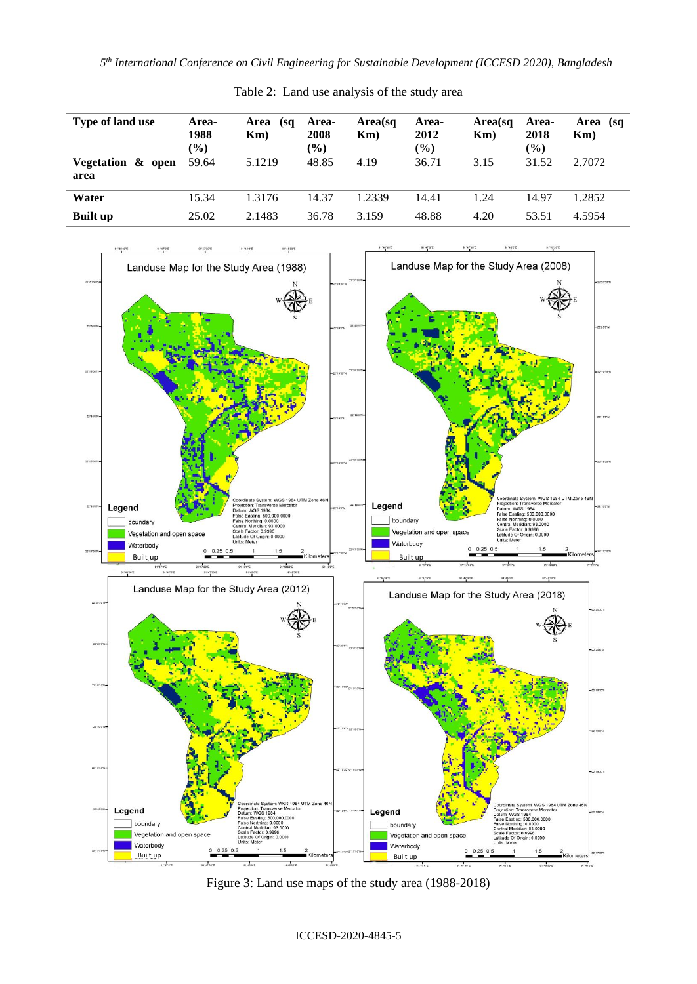*5 th International Conference on Civil Engineering for Sustainable Development (ICCESD 2020), Bangladesh*

| Type of land use          | Area-<br>1988<br>$\frac{9}{0}$ | Area<br>(sq<br>Km) | Area-<br>2008<br>$(\%)$ | Area(sq<br>Km) | Area-<br>2012<br>$(\%)$ | Area(sq<br>Km) | Area-<br>2018<br>$(\%)$ | Area (sq<br>$Km$ ) |
|---------------------------|--------------------------------|--------------------|-------------------------|----------------|-------------------------|----------------|-------------------------|--------------------|
| Vegetation & open<br>area | 59.64                          | 5.1219             | 48.85                   | 4.19           | 36.71                   | 3.15           | 31.52                   | 2.7072             |
| Water                     | 15.34                          | 1.3176             | 14.37                   | 1.2339         | 14.41                   | 1.24           | 14.97                   | 1.2852             |
| <b>Built up</b>           | 25.02                          | 2.1483             | 36.78                   | 3.159          | 48.88                   | 4.20           | 53.51                   | 4.5954             |

Table 2: Land use analysis of the study area



Figure 3: Land use maps of the study area (1988-2018)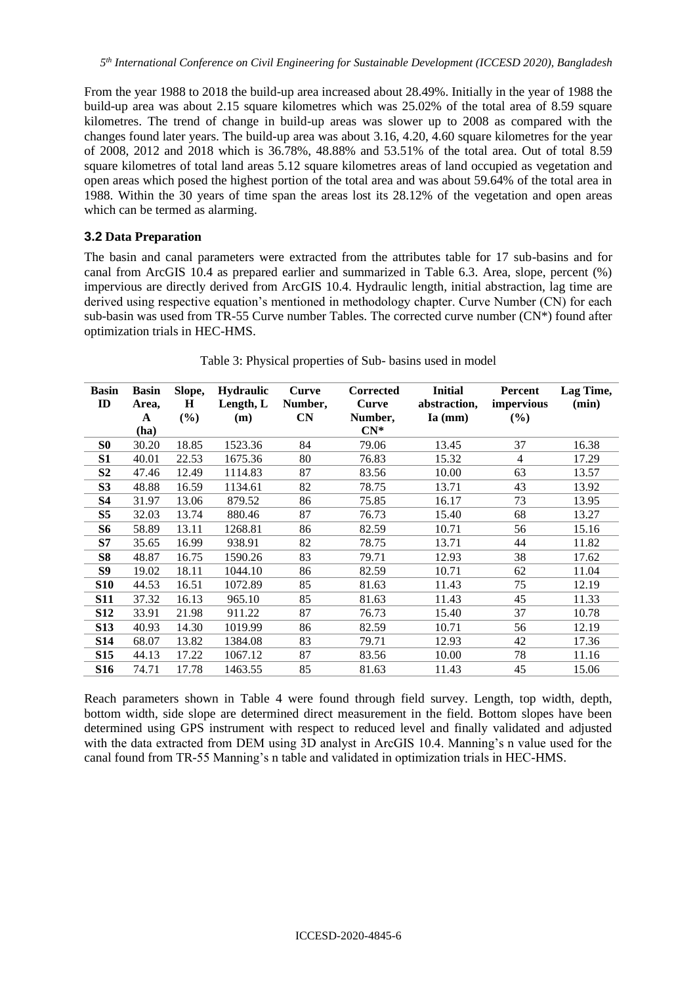From the year 1988 to 2018 the build-up area increased about 28.49%. Initially in the year of 1988 the build-up area was about 2.15 square kilometres which was 25.02% of the total area of 8.59 square kilometres. The trend of change in build-up areas was slower up to 2008 as compared with the changes found later years. The build-up area was about 3.16, 4.20, 4.60 square kilometres for the year of 2008, 2012 and 2018 which is 36.78%, 48.88% and 53.51% of the total area. Out of total 8.59 square kilometres of total land areas 5.12 square kilometres areas of land occupied as vegetation and open areas which posed the highest portion of the total area and was about 59.64% of the total area in 1988. Within the 30 years of time span the areas lost its 28.12% of the vegetation and open areas which can be termed as alarming.

## **3.2 Data Preparation**

The basin and canal parameters were extracted from the attributes table for 17 sub-basins and for canal from ArcGIS 10.4 as prepared earlier and summarized in Table 6.3. Area, slope, percent (%) impervious are directly derived from ArcGIS 10.4. Hydraulic length, initial abstraction, lag time are derived using respective equation's mentioned in methodology chapter. Curve Number (CN) for each sub-basin was used from TR-55 Curve number Tables. The corrected curve number (CN\*) found after optimization trials in HEC-HMS.

| <b>Basin</b>    | <b>Basin</b> | Slope, | <b>Hydraulic</b> | <b>Curve</b> | <b>Corrected</b> | <b>Initial</b> | Percent        | Lag Time, |
|-----------------|--------------|--------|------------------|--------------|------------------|----------------|----------------|-----------|
| ID              | Area,        | H      | Length, $L$      | Number,      | <b>Curve</b>     | abstraction,   | impervious     | (min)     |
|                 | A            | (%)    | (m)              | CN           | Number,          | $Ia$ (mm)      | (%)            |           |
|                 | (ha)         |        |                  |              | $CN^*$           |                |                |           |
| S <sub>0</sub>  | 30.20        | 18.85  | 1523.36          | 84           | 79.06            | 13.45          | 37             | 16.38     |
| S1              | 40.01        | 22.53  | 1675.36          | 80           | 76.83            | 15.32          | $\overline{4}$ | 17.29     |
| S <sub>2</sub>  | 47.46        | 12.49  | 1114.83          | 87           | 83.56            | 10.00          | 63             | 13.57     |
| S <sub>3</sub>  | 48.88        | 16.59  | 1134.61          | 82           | 78.75            | 13.71          | 43             | 13.92     |
| <b>S4</b>       | 31.97        | 13.06  | 879.52           | 86           | 75.85            | 16.17          | 73             | 13.95     |
| S <sub>5</sub>  | 32.03        | 13.74  | 880.46           | 87           | 76.73            | 15.40          | 68             | 13.27     |
| <b>S6</b>       | 58.89        | 13.11  | 1268.81          | 86           | 82.59            | 10.71          | 56             | 15.16     |
| S7              | 35.65        | 16.99  | 938.91           | 82           | 78.75            | 13.71          | 44             | 11.82     |
| S8              | 48.87        | 16.75  | 1590.26          | 83           | 79.71            | 12.93          | 38             | 17.62     |
| S9              | 19.02        | 18.11  | 1044.10          | 86           | 82.59            | 10.71          | 62             | 11.04     |
| <b>S10</b>      | 44.53        | 16.51  | 1072.89          | 85           | 81.63            | 11.43          | 75             | 12.19     |
| <b>S11</b>      | 37.32        | 16.13  | 965.10           | 85           | 81.63            | 11.43          | 45             | 11.33     |
| <b>S12</b>      | 33.91        | 21.98  | 911.22           | 87           | 76.73            | 15.40          | 37             | 10.78     |
| <b>S13</b>      | 40.93        | 14.30  | 1019.99          | 86           | 82.59            | 10.71          | 56             | 12.19     |
| <b>S14</b>      | 68.07        | 13.82  | 1384.08          | 83           | 79.71            | 12.93          | 42             | 17.36     |
| <b>S15</b>      | 44.13        | 17.22  | 1067.12          | 87           | 83.56            | 10.00          | 78             | 11.16     |
| S <sub>16</sub> | 74.71        | 17.78  | 1463.55          | 85           | 81.63            | 11.43          | 45             | 15.06     |

Table 3: Physical properties of Sub- basins used in model

Reach parameters shown in Table 4 were found through field survey. Length, top width, depth, bottom width, side slope are determined direct measurement in the field. Bottom slopes have been determined using GPS instrument with respect to reduced level and finally validated and adjusted with the data extracted from DEM using 3D analyst in ArcGIS 10.4. Manning's n value used for the canal found from TR-55 Manning's n table and validated in optimization trials in HEC-HMS.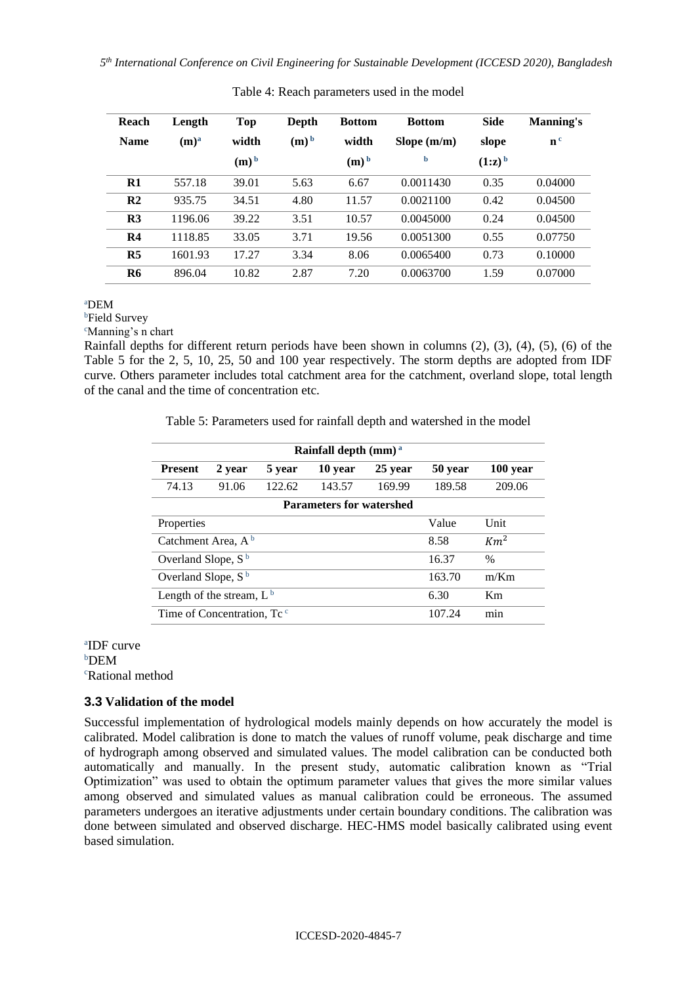| Reach          | Length           | Top                | Depth   | <b>Bottom</b>      | <b>Bottom</b> | <b>Side</b> | <b>Manning's</b> |
|----------------|------------------|--------------------|---------|--------------------|---------------|-------------|------------------|
| <b>Name</b>    | (m) <sup>a</sup> | width              | $(m)^b$ | width              | Slope $(m/m)$ | slope       | n <sup>c</sup>   |
|                |                  | $(m)$ <sup>b</sup> |         | $(m)$ <sup>b</sup> | b             | $(1:z)^b$   |                  |
| $\mathbf{R}1$  | 557.18           | 39.01              | 5.63    | 6.67               | 0.0011430     | 0.35        | 0.04000          |
| R <sub>2</sub> | 935.75           | 34.51              | 4.80    | 11.57              | 0.0021100     | 0.42        | 0.04500          |
| R <sub>3</sub> | 1196.06          | 39.22              | 3.51    | 10.57              | 0.0045000     | 0.24        | 0.04500          |
| R <sub>4</sub> | 1118.85          | 33.05              | 3.71    | 19.56              | 0.0051300     | 0.55        | 0.07750          |
| R <sub>5</sub> | 1601.93          | 17.27              | 3.34    | 8.06               | 0.0065400     | 0.73        | 0.10000          |
| <b>R6</b>      | 896.04           | 10.82              | 2.87    | 7.20               | 0.0063700     | 1.59        | 0.07000          |

Table 4: Reach parameters used in the model

<sup>a</sup>DEM

**b**Field Survey

<sup>c</sup>Manning's n chart

Rainfall depths for different return periods have been shown in columns (2), (3), (4), (5), (6) of the Table 5 for the 2, 5, 10, 25, 50 and 100 year respectively. The storm depths are adopted from IDF curve. Others parameter includes total catchment area for the catchment, overland slope, total length of the canal and the time of concentration etc.

Table 5: Parameters used for rainfall depth and watershed in the model

| Rainfall depth $(mm)^a$                |                                 |        |               |         |         |          |  |  |  |
|----------------------------------------|---------------------------------|--------|---------------|---------|---------|----------|--|--|--|
| <b>Present</b>                         | 2 year                          | 5 year | 10 year       | 25 year | 50 year | 100 year |  |  |  |
| 74.13                                  | 91.06                           | 122.62 | 143.57        | 169.99  | 189.58  | 209.06   |  |  |  |
|                                        | <b>Parameters for watershed</b> |        |               |         |         |          |  |  |  |
| Unit<br>Value<br>Properties            |                                 |        |               |         |         |          |  |  |  |
| Catchment Area, $A^b$                  |                                 | 8.58   | $Km^2$        |         |         |          |  |  |  |
| Overland Slope, $S^b$                  |                                 | 16.37  | $\frac{0}{0}$ |         |         |          |  |  |  |
| Overland Slope, $S^b$                  |                                 | 163.70 | m/Km          |         |         |          |  |  |  |
| Length of the stream, $L^b$            |                                 | 6.30   | Km            |         |         |          |  |  |  |
| Time of Concentration. Tc <sup>c</sup> |                                 | 107.24 | min           |         |         |          |  |  |  |

a IDF curve **bDEM** <sup>c</sup>Rational method

# **3.3 Validation of the model**

Successful implementation of hydrological models mainly depends on how accurately the model is calibrated. Model calibration is done to match the values of runoff volume, peak discharge and time of hydrograph among observed and simulated values. The model calibration can be conducted both automatically and manually. In the present study, automatic calibration known as "Trial Optimization" was used to obtain the optimum parameter values that gives the more similar values among observed and simulated values as manual calibration could be erroneous. The assumed parameters undergoes an iterative adjustments under certain boundary conditions. The calibration was done between simulated and observed discharge. HEC-HMS model basically calibrated using event based simulation.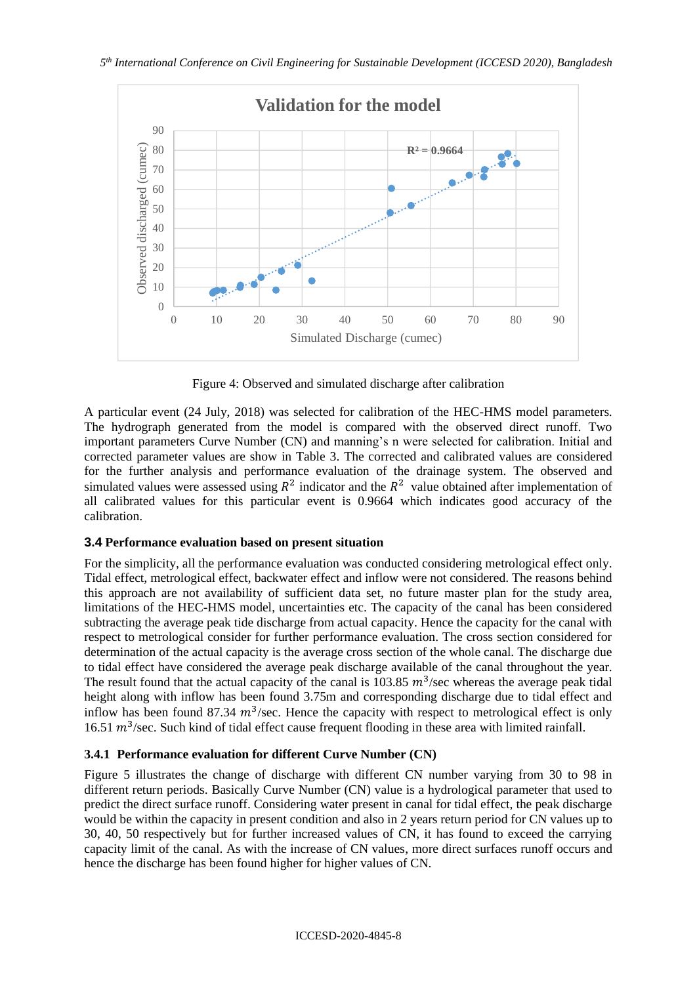

Figure 4: Observed and simulated discharge after calibration

A particular event (24 July, 2018) was selected for calibration of the HEC-HMS model parameters. The hydrograph generated from the model is compared with the observed direct runoff. Two important parameters Curve Number (CN) and manning's n were selected for calibration. Initial and corrected parameter values are show in Table 3. The corrected and calibrated values are considered for the further analysis and performance evaluation of the drainage system. The observed and simulated values were assessed using  $R^2$  indicator and the  $R^2$  value obtained after implementation of all calibrated values for this particular event is 0.9664 which indicates good accuracy of the calibration.

# **3.4 Performance evaluation based on present situation**

For the simplicity, all the performance evaluation was conducted considering metrological effect only. Tidal effect, metrological effect, backwater effect and inflow were not considered. The reasons behind this approach are not availability of sufficient data set, no future master plan for the study area, limitations of the HEC-HMS model, uncertainties etc. The capacity of the canal has been considered subtracting the average peak tide discharge from actual capacity. Hence the capacity for the canal with respect to metrological consider for further performance evaluation. The cross section considered for determination of the actual capacity is the average cross section of the whole canal. The discharge due to tidal effect have considered the average peak discharge available of the canal throughout the year. The result found that the actual capacity of the canal is 103.85  $m^3$ /sec whereas the average peak tidal height along with inflow has been found 3.75m and corresponding discharge due to tidal effect and inflow has been found 87.34  $m^3$ /sec. Hence the capacity with respect to metrological effect is only 16.51  $m^3$ /sec. Such kind of tidal effect cause frequent flooding in these area with limited rainfall.

# **3.4.1 Performance evaluation for different Curve Number (CN)**

Figure 5 illustrates the change of discharge with different CN number varying from 30 to 98 in different return periods. Basically Curve Number (CN) value is a hydrological parameter that used to predict the direct surface runoff. Considering water present in canal for tidal effect, the peak discharge would be within the capacity in present condition and also in 2 years return period for CN values up to 30, 40, 50 respectively but for further increased values of CN, it has found to exceed the carrying capacity limit of the canal. As with the increase of CN values, more direct surfaces runoff occurs and hence the discharge has been found higher for higher values of CN.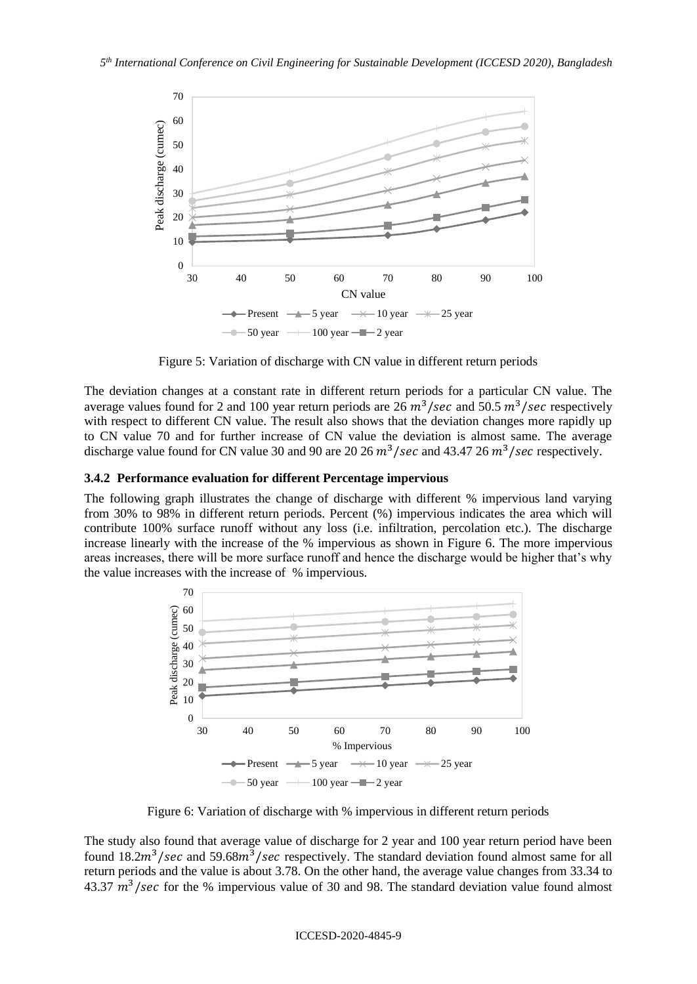

Figure 5: Variation of discharge with CN value in different return periods

The deviation changes at a constant rate in different return periods for a particular CN value. The average values found for 2 and 100 year return periods are 26  $m^3$ /sec and 50.5  $m^3$ /sec respectively with respect to different CN value. The result also shows that the deviation changes more rapidly up to CN value 70 and for further increase of CN value the deviation is almost same. The average discharge value found for CN value 30 and 90 are 20 26  $m^3$ /sec and 43.47 26  $m^3$ /sec respectively.

### **3.4.2 Performance evaluation for different Percentage impervious**

The following graph illustrates the change of discharge with different % impervious land varying from 30% to 98% in different return periods. Percent (%) impervious indicates the area which will contribute 100% surface runoff without any loss (i.e. infiltration, percolation etc.). The discharge increase linearly with the increase of the % impervious as shown in Figure 6. The more impervious areas increases, there will be more surface runoff and hence the discharge would be higher that's why the value increases with the increase of % impervious.



Figure 6: Variation of discharge with % impervious in different return periods

The study also found that average value of discharge for 2 year and 100 year return period have been found  $18.2m^3/sec$  and  $59.68m^3/sec$  respectively. The standard deviation found almost same for all return periods and the value is about 3.78. On the other hand, the average value changes from 33.34 to 43.37  $m^3$ /sec for the % impervious value of 30 and 98. The standard deviation value found almost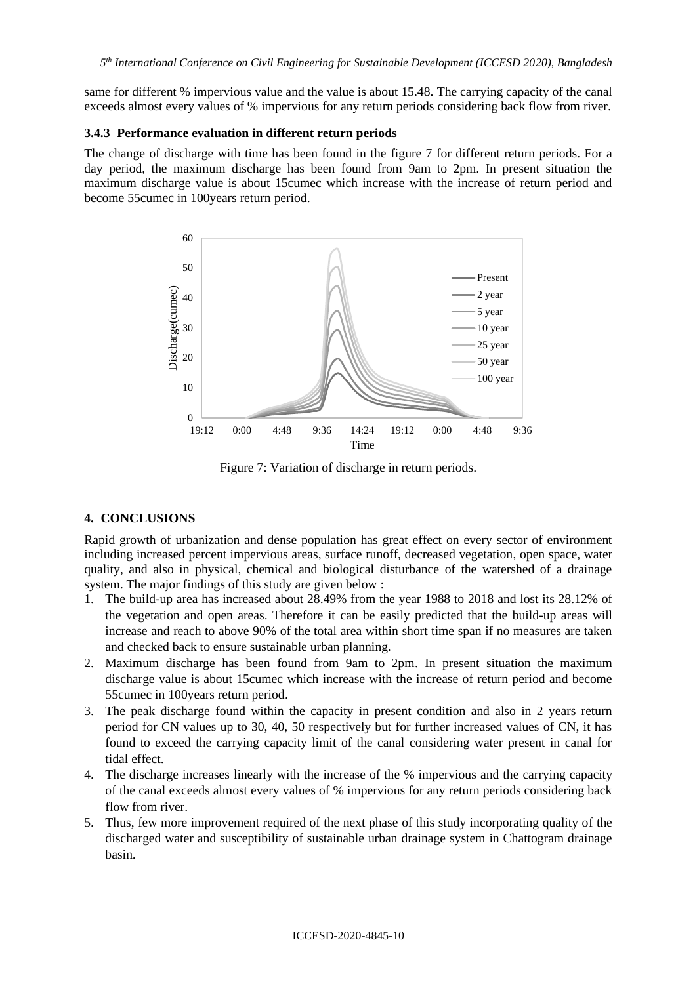same for different % impervious value and the value is about 15.48. The carrying capacity of the canal exceeds almost every values of % impervious for any return periods considering back flow from river.

### **3.4.3 Performance evaluation in different return periods**

The change of discharge with time has been found in the figure 7 for different return periods. For a day period, the maximum discharge has been found from 9am to 2pm. In present situation the maximum discharge value is about 15cumec which increase with the increase of return period and become 55cumec in 100years return period.



Figure 7: Variation of discharge in return periods.

## **4. CONCLUSIONS**

Rapid growth of urbanization and dense population has great effect on every sector of environment including increased percent impervious areas, surface runoff, decreased vegetation, open space, water quality, and also in physical, chemical and biological disturbance of the watershed of a drainage system. The major findings of this study are given below :

- 1. The build-up area has increased about 28.49% from the year 1988 to 2018 and lost its 28.12% of the vegetation and open areas. Therefore it can be easily predicted that the build-up areas will increase and reach to above 90% of the total area within short time span if no measures are taken and checked back to ensure sustainable urban planning.
- 2. Maximum discharge has been found from 9am to 2pm. In present situation the maximum discharge value is about 15cumec which increase with the increase of return period and become 55cumec in 100years return period.
- 3. The peak discharge found within the capacity in present condition and also in 2 years return period for CN values up to 30, 40, 50 respectively but for further increased values of CN, it has found to exceed the carrying capacity limit of the canal considering water present in canal for tidal effect.
- 4. The discharge increases linearly with the increase of the % impervious and the carrying capacity of the canal exceeds almost every values of % impervious for any return periods considering back flow from river.
- 5. Thus, few more improvement required of the next phase of this study incorporating quality of the discharged water and susceptibility of sustainable urban drainage system in Chattogram drainage basin.